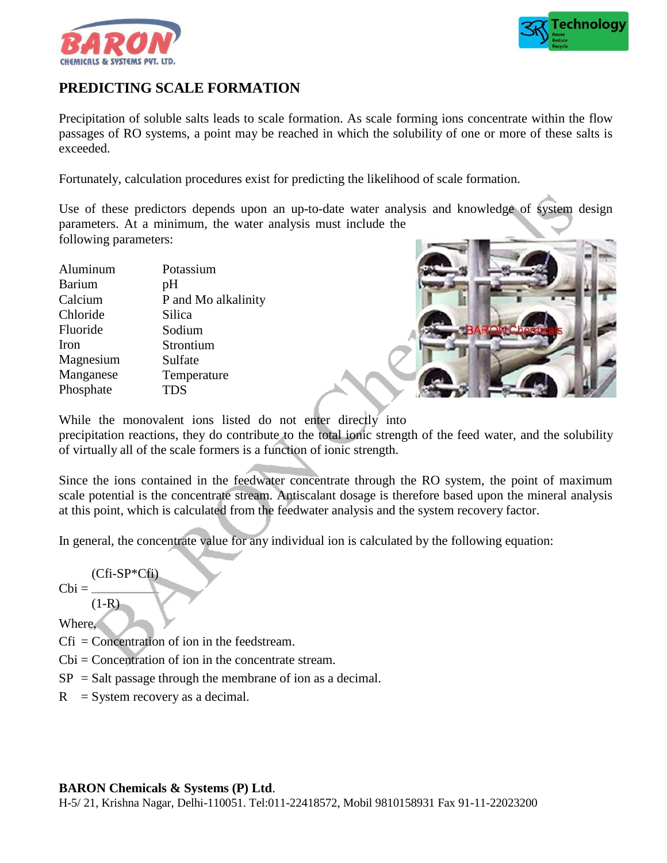



# **PREDICTING SCALE FORMATION**

Precipitation of soluble salts leads to scale formation. As scale forming ions concentrate within the flow passages of RO systems, a point may be reached in which the solubility of one or more of these salts is exceeded.

Fortunately, calculation procedures exist for predicting the likelihood of scale formation.

Use of these predictors depends upon an up-to-date water analysis and knowledge of system design parameters. At a minimum, the water analysis must include the following parameters:

| Potassium           |
|---------------------|
| pH                  |
| P and Mo alkalinity |
| Silica              |
| Sodium              |
| Strontium           |
| Sulfate             |
| Temperature         |
| <b>TDS</b>          |
|                     |



While the monovalent ions listed do not enter directly into precipitation reactions, they do contribute to the total ionic strength of the feed water, and the solubility of virtually all of the scale formers is a function of ionic strength.

Since the ions contained in the feedwater concentrate through the RO system, the point of maximum scale potential is the concentrate stream. Antiscalant dosage is therefore based upon the mineral analysis at this point, which is calculated from the feedwater analysis and the system recovery factor.

In general, the concentrate value for any individual ion is calculated by the following equation:

$$
(Cfi-SP*Cfi)
$$

 $(1-R)$ 

 $Cbi =$ 

Where,

Cfi = Concentration of ion in the feedstream.

Cbi = Concentration of ion in the concentrate stream.

- $SP = Salt$  passage through the membrane of ion as a decimal.
- $R =$  System recovery as a decimal.

## **BARON Chemicals & Systems (P) Ltd**.

H-5/ 21, Krishna Nagar, Delhi-110051. Tel:011-22418572, Mobil 9810158931 Fax 91-11-22023200